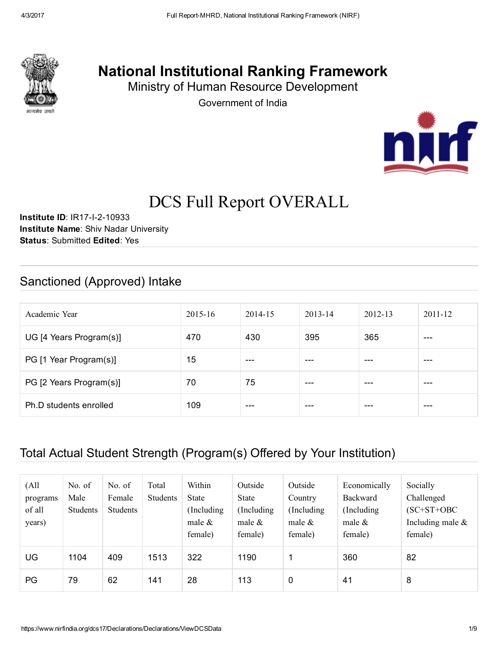

# National Institutional Ranking Framework

Ministry of Human Resource Development

Government of India



# DCS Full Report OVERALL

Institute ID: IR17-I-2-10933 Institute Name: Shiv Nadar University Status: Submitted Edited: Yes

# Sanctioned (Approved) Intake

| Academic Year           | $2015 - 16$ | 2014-15 | $2013 - 14$ | $2012 - 13$ | $2011 - 12$ |
|-------------------------|-------------|---------|-------------|-------------|-------------|
| UG [4 Years Program(s)] | 470         | 430     | 395         | 365         | ---         |
| PG [1 Year Program(s)]  | 15          | ---     | ---         |             | ---         |
| PG [2 Years Program(s)] | 70          | 75      | $---$       | ---         | ---         |
| Ph.D students enrolled  | 109         | ---     | ---         |             | ---         |

### Total Actual Student Strength (Program(s) Offered by Your Institution)

| (All<br>programs<br>of all<br>years) | No. of<br>Male<br><b>Students</b> | No. of<br>Female<br><b>Students</b> | Total<br><b>Students</b> | Within<br><b>State</b><br>(Including)<br>male $\&$<br>female) | Outside<br><b>State</b><br>(Including)<br>male $\&$<br>female) | Outside<br>Country<br>(Including)<br>male $\&$<br>female) | Economically<br>Backward<br>(Including)<br>male $\&$<br>female) | Socially<br>Challenged<br>$(SC+ST+OBC$<br>Including male $\&$<br>female) |
|--------------------------------------|-----------------------------------|-------------------------------------|--------------------------|---------------------------------------------------------------|----------------------------------------------------------------|-----------------------------------------------------------|-----------------------------------------------------------------|--------------------------------------------------------------------------|
| UG                                   | 1104                              | 409                                 | 1513                     | 322                                                           | 1190                                                           | 1                                                         | 360                                                             | 82                                                                       |
| PG                                   | 79                                | 62                                  | 141                      | 28                                                            | 113                                                            | 0                                                         | 41                                                              | 8                                                                        |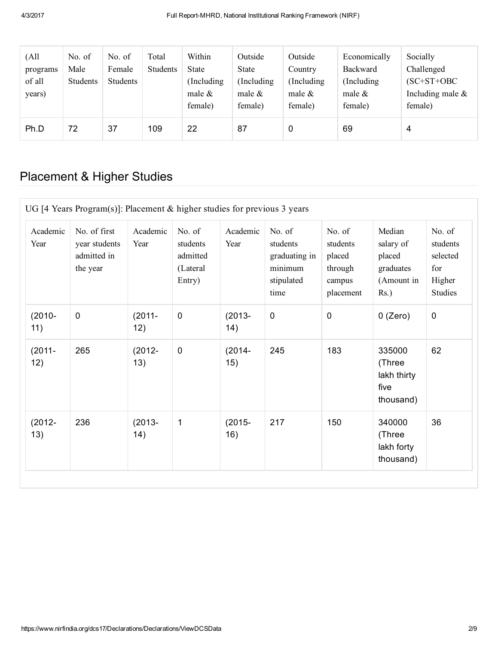| (All<br>programs<br>of all<br>years) | No. of<br>Male<br>Students | No. of<br>Female<br>Students | Total<br>Students | Within<br><b>State</b><br>(Including)<br>male $\&$<br>female) | Outside<br><b>State</b><br>(Including)<br>male $\&$<br>female) | Outside<br>Country<br>(Including)<br>male $\&$<br>female) | Economically<br>Backward<br>(Including)<br>male $\&$<br>female) | Socially<br>Challenged<br>$(SC+ST+OBC$<br>Including male $\&$<br>female) |
|--------------------------------------|----------------------------|------------------------------|-------------------|---------------------------------------------------------------|----------------------------------------------------------------|-----------------------------------------------------------|-----------------------------------------------------------------|--------------------------------------------------------------------------|
| Ph.D                                 | 72                         | 37                           | 109               | 22                                                            | 87                                                             | 0                                                         | 69                                                              | 4                                                                        |

# Placement & Higher Studies

| Academic<br>Year | No. of first<br>year students<br>admitted in<br>the year | Academic<br>Year | No. of<br>students<br>admitted<br>(Lateral<br>Entry) | Academic<br>Year  | No. of<br>students<br>graduating in<br>minimum<br>stipulated<br>time | No. of<br>students<br>placed<br>through<br>campus<br>placement | Median<br>salary of<br>placed<br>graduates<br>(Amount in<br>$Rs.$ ) | No. of<br>students<br>selected<br>for<br>Higher<br><b>Studies</b> |
|------------------|----------------------------------------------------------|------------------|------------------------------------------------------|-------------------|----------------------------------------------------------------------|----------------------------------------------------------------|---------------------------------------------------------------------|-------------------------------------------------------------------|
| $(2010 -$<br>11) | $\mathbf 0$                                              | $(2011 -$<br>12) | $\mathbf 0$                                          | $(2013 -$<br>(14) | $\mathbf 0$                                                          | $\mathbf 0$                                                    | $0$ (Zero)                                                          | $\mathbf 0$                                                       |
| $(2011 -$<br>12) | 265                                                      | $(2012 -$<br>13) | $\mathbf 0$                                          | $(2014 -$<br>15)  | 245                                                                  | 183                                                            | 335000<br>(Three<br>lakh thirty<br>five<br>thousand)                | 62                                                                |
| $(2012 -$<br>13) | 236                                                      | $(2013 -$<br>14) | $\mathbf 1$                                          | $(2015 -$<br>16)  | 217                                                                  | 150                                                            | 340000<br>(Three<br>lakh forty<br>thousand)                         | 36                                                                |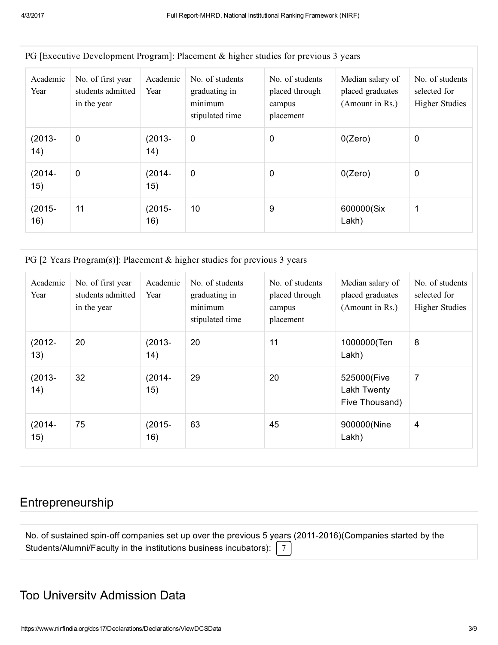|                  |                                                       |                  | PG Executive Development Program: Placement & higher studies for previous 3 years |                                                          |                                                         |                                                          |
|------------------|-------------------------------------------------------|------------------|-----------------------------------------------------------------------------------|----------------------------------------------------------|---------------------------------------------------------|----------------------------------------------------------|
| Academic<br>Year | No. of first year<br>students admitted<br>in the year | Academic<br>Year | No. of students<br>graduating in<br>minimum<br>stipulated time                    | No. of students<br>placed through<br>campus<br>placement | Median salary of<br>placed graduates<br>(Amount in Rs.) | No. of students<br>selected for<br><b>Higher Studies</b> |
| $(2013 -$<br>14) | $\mathbf 0$                                           | $(2013 -$<br>14) | $\mathbf 0$                                                                       | 0                                                        | 0(Zero)                                                 | 0                                                        |
| $(2014 -$<br>15) | $\mathbf 0$                                           | $(2014 -$<br>15) | $\mathbf 0$                                                                       | 0                                                        | 0(Zero)                                                 | 0                                                        |
| $(2015 -$<br>16) | 11                                                    | (2015-<br>16)    | 10                                                                                | 9                                                        | 600000(Six<br>Lakh)                                     | 1                                                        |

PG [Executive Development Program]: Placement & higher studies for previous 3 years

PG [2 Years Program(s)]: Placement & higher studies for previous 3 years

| Academic<br>Year | No. of first year<br>students admitted<br>in the year | Academic<br>Year | No. of students<br>graduating in<br>minimum<br>stipulated time | No. of students<br>placed through<br>campus<br>placement | Median salary of<br>placed graduates<br>(Amount in Rs.) | No. of students<br>selected for<br><b>Higher Studies</b> |
|------------------|-------------------------------------------------------|------------------|----------------------------------------------------------------|----------------------------------------------------------|---------------------------------------------------------|----------------------------------------------------------|
| $(2012 -$<br>13) | 20                                                    | $(2013 -$<br>14) | 20                                                             | 11                                                       | 1000000(Ten<br>Lakh)                                    | 8                                                        |
| $(2013 -$<br>14) | 32                                                    | $(2014 -$<br>15) | 29                                                             | 20                                                       | 525000(Five<br>Lakh Twenty<br>Five Thousand)            | 7                                                        |
| $(2014 -$<br>15) | 75                                                    | $(2015 -$<br>16) | 63                                                             | 45                                                       | 900000(Nine<br>Lakh)                                    | 4                                                        |

### Entrepreneurship

No. of sustained spin-off companies set up over the previous 5 years (2011-2016)(Companies started by the Students/Alumni/Faculty in the institutions business incubators):  $\begin{bmatrix} 7 \end{bmatrix}$ 

#### Top University Admission Data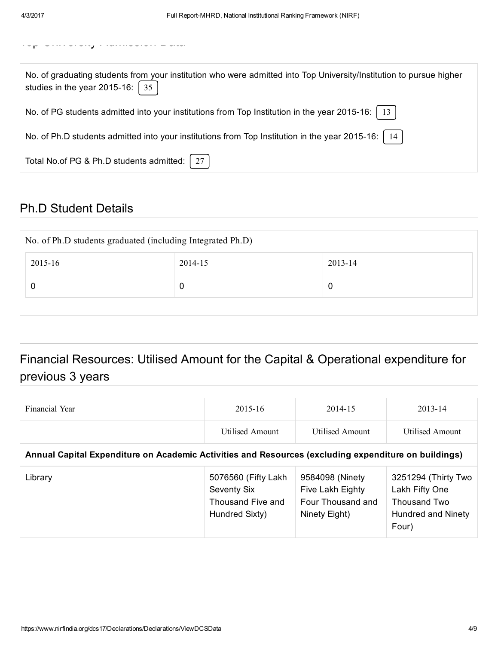| No. of graduating students from your institution who were admitted into Top University/Institution to pursue higher<br>studies in the year 2015-16: $\int 35$ |
|---------------------------------------------------------------------------------------------------------------------------------------------------------------|
| No. of PG students admitted into your institutions from Top Institution in the year 2015-16:   13                                                             |
| No. of Ph.D students admitted into your institutions from Top Institution in the year 2015-16:   14                                                           |
| Total No.of PG & Ph.D students admitted:                                                                                                                      |

### Ph.D Student Details

| No. of Ph.D students graduated (including Integrated Ph.D) |         |         |  |  |  |
|------------------------------------------------------------|---------|---------|--|--|--|
| 2015-16                                                    | 2014-15 | 2013-14 |  |  |  |
|                                                            | 0       | 0       |  |  |  |
|                                                            |         |         |  |  |  |

# Financial Resources: Utilised Amount for the Capital & Operational expenditure for previous 3 years

| Financial Year                                                                                       | $2015 - 16$                                                                | 2014-15                                                                   | $2013 - 14$                                                                          |  |  |  |  |
|------------------------------------------------------------------------------------------------------|----------------------------------------------------------------------------|---------------------------------------------------------------------------|--------------------------------------------------------------------------------------|--|--|--|--|
|                                                                                                      | <b>Utilised Amount</b>                                                     | Utilised Amount                                                           | <b>Utilised Amount</b>                                                               |  |  |  |  |
| Annual Capital Expenditure on Academic Activities and Resources (excluding expenditure on buildings) |                                                                            |                                                                           |                                                                                      |  |  |  |  |
| Library                                                                                              | 5076560 (Fifty Lakh)<br>Seventy Six<br>Thousand Five and<br>Hundred Sixty) | 9584098 (Ninety<br>Five Lakh Eighty<br>Four Thousand and<br>Ninety Eight) | 3251294 (Thirty Two<br>Lakh Fifty One<br>Thousand Two<br>Hundred and Ninety<br>Four) |  |  |  |  |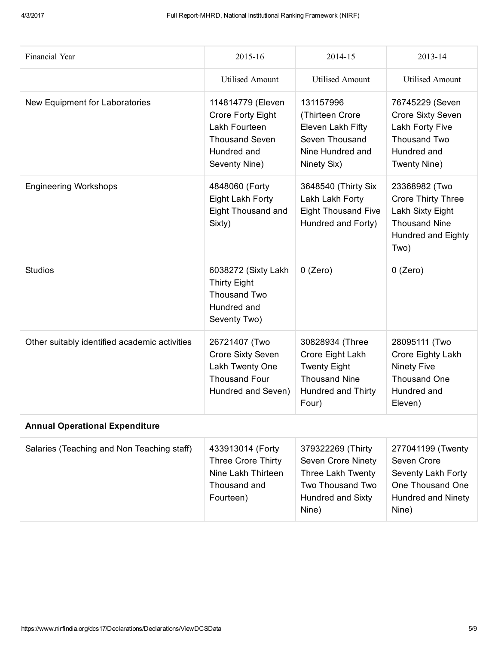| Financial Year                                | 2015-16                                                                                                                 | 2014-15                                                                                                               | 2013-14                                                                                                              |  |  |  |
|-----------------------------------------------|-------------------------------------------------------------------------------------------------------------------------|-----------------------------------------------------------------------------------------------------------------------|----------------------------------------------------------------------------------------------------------------------|--|--|--|
|                                               | <b>Utilised Amount</b>                                                                                                  | <b>Utilised Amount</b>                                                                                                | <b>Utilised Amount</b>                                                                                               |  |  |  |
| New Equipment for Laboratories                | 114814779 (Eleven<br><b>Crore Forty Eight</b><br>Lakh Fourteen<br><b>Thousand Seven</b><br>Hundred and<br>Seventy Nine) | 131157996<br>(Thirteen Crore<br>Eleven Lakh Fifty<br>Seven Thousand<br>Nine Hundred and<br>Ninety Six)                | 76745229 (Seven<br><b>Crore Sixty Seven</b><br>Lakh Forty Five<br>Thousand Two<br>Hundred and<br>Twenty Nine)        |  |  |  |
| <b>Engineering Workshops</b>                  | 4848060 (Forty<br>Eight Lakh Forty<br><b>Eight Thousand and</b><br>Sixty)                                               | 3648540 (Thirty Six<br>Lakh Lakh Forty<br><b>Eight Thousand Five</b><br>Hundred and Forty)                            | 23368982 (Two<br><b>Crore Thirty Three</b><br>Lakh Sixty Eight<br><b>Thousand Nine</b><br>Hundred and Eighty<br>Two) |  |  |  |
| <b>Studios</b>                                | 6038272 (Sixty Lakh<br><b>Thirty Eight</b><br>Thousand Two<br>Hundred and<br>Seventy Two)                               | $0$ (Zero)                                                                                                            | $0$ (Zero)                                                                                                           |  |  |  |
| Other suitably identified academic activities | 26721407 (Two<br>Crore Sixty Seven<br>Lakh Twenty One<br><b>Thousand Four</b><br>Hundred and Seven)                     | 30828934 (Three<br>Crore Eight Lakh<br><b>Twenty Eight</b><br><b>Thousand Nine</b><br>Hundred and Thirty<br>Four)     | 28095111 (Two<br>Crore Eighty Lakh<br><b>Ninety Five</b><br>Thousand One<br>Hundred and<br>Eleven)                   |  |  |  |
| <b>Annual Operational Expenditure</b>         |                                                                                                                         |                                                                                                                       |                                                                                                                      |  |  |  |
| Salaries (Teaching and Non Teaching staff)    | 433913014 (Forty<br>Three Crore Thirty<br>Nine Lakh Thirteen<br>Thousand and<br>Fourteen)                               | 379322269 (Thirty<br><b>Seven Crore Ninety</b><br>Three Lakh Twenty<br>Two Thousand Two<br>Hundred and Sixty<br>Nine) | 277041199 (Twenty<br>Seven Crore<br>Seventy Lakh Forty<br>One Thousand One<br><b>Hundred and Ninety</b><br>Nine)     |  |  |  |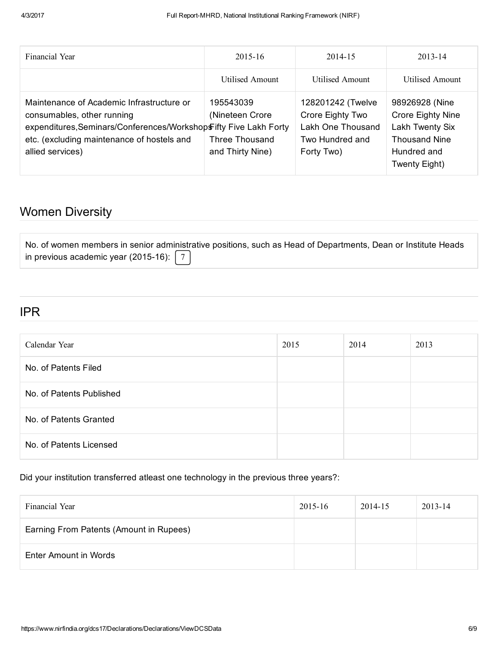| Financial Year                                                                                                                                                                                                 | $2015 - 16$                                                               | 2014-15                                                                                     | $2013 - 14$                                                                                                           |
|----------------------------------------------------------------------------------------------------------------------------------------------------------------------------------------------------------------|---------------------------------------------------------------------------|---------------------------------------------------------------------------------------------|-----------------------------------------------------------------------------------------------------------------------|
|                                                                                                                                                                                                                | Utilised Amount                                                           | Utilised Amount                                                                             | Utilised Amount                                                                                                       |
| Maintenance of Academic Infrastructure or<br>consumables, other running<br>expenditures, Seminars/Conferences/WorkshopsFifty Five Lakh Forty<br>etc. (excluding maintenance of hostels and<br>allied services) | 195543039<br>(Nineteen Crore<br><b>Three Thousand</b><br>and Thirty Nine) | 128201242 (Twelve<br>Crore Eighty Two<br>Lakh One Thousand<br>Two Hundred and<br>Forty Two) | 98926928 (Nine<br><b>Crore Eighty Nine</b><br>Lakh Twenty Six<br><b>Thousand Nine</b><br>Hundred and<br>Twenty Eight) |

# Women Diversity

|                                                  | No. of women members in senior administrative positions, such as Head of Departments, Dean or Institute Heads |  |
|--------------------------------------------------|---------------------------------------------------------------------------------------------------------------|--|
| in previous academic year (2015-16): $\boxed{7}$ |                                                                                                               |  |

#### IPR

| Calendar Year            | 2015 | 2014 | 2013 |
|--------------------------|------|------|------|
| No. of Patents Filed     |      |      |      |
| No. of Patents Published |      |      |      |
| No. of Patents Granted   |      |      |      |
| No. of Patents Licensed  |      |      |      |

Did your institution transferred atleast one technology in the previous three years?:

| Financial Year                          | 2015-16 | 2014-15 | 2013-14 |
|-----------------------------------------|---------|---------|---------|
| Earning From Patents (Amount in Rupees) |         |         |         |
| Enter Amount in Words                   |         |         |         |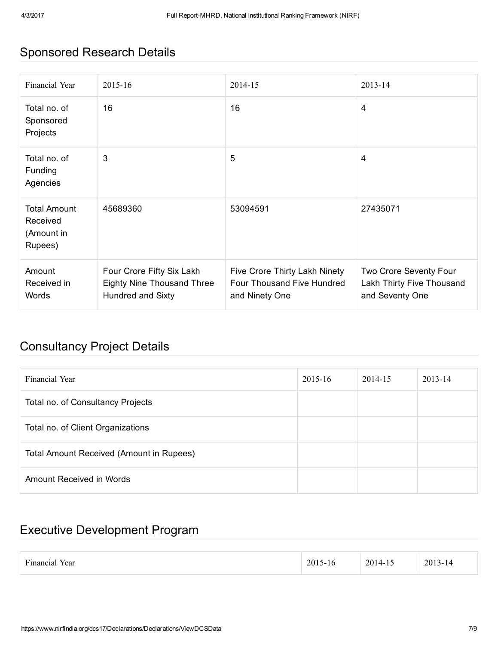# Sponsored Research Details

| Financial Year                                           | 2015-16                                                                                    | 2014-15                                                                       | 2013-14                                                                |
|----------------------------------------------------------|--------------------------------------------------------------------------------------------|-------------------------------------------------------------------------------|------------------------------------------------------------------------|
| Total no. of<br>Sponsored<br>Projects                    | 16                                                                                         | 16                                                                            | 4                                                                      |
| Total no. of<br><b>Funding</b><br>Agencies               | 3                                                                                          | 5                                                                             | $\overline{4}$                                                         |
| <b>Total Amount</b><br>Received<br>(Amount in<br>Rupees) | 45689360                                                                                   | 53094591                                                                      | 27435071                                                               |
| Amount<br>Received in<br>Words                           | Four Crore Fifty Six Lakh<br><b>Eighty Nine Thousand Three</b><br><b>Hundred and Sixty</b> | Five Crore Thirty Lakh Ninety<br>Four Thousand Five Hundred<br>and Ninety One | Two Crore Seventy Four<br>Lakh Thirty Five Thousand<br>and Seventy One |

### Consultancy Project Details

| Financial Year                           | $2015 - 16$ | 2014-15 | $2013 - 14$ |
|------------------------------------------|-------------|---------|-------------|
| Total no. of Consultancy Projects        |             |         |             |
| Total no. of Client Organizations        |             |         |             |
| Total Amount Received (Amount in Rupees) |             |         |             |
| Amount Received in Words                 |             |         |             |

# Executive Development Program

| $\overline{\phantom{a}}$<br>$\mathcal{L}$<br>Year<br>1C12<br>-10<br>ınar<br>∠∪ | . .<br>$2014 -$<br>ن ۱<br>$\rightarrow$ $\rightarrow$ $\rightarrow$<br>.<br>and the control of the control of | 201<br>1 - I 4<br>$\mathbf{1}$<br>__ |  |
|--------------------------------------------------------------------------------|---------------------------------------------------------------------------------------------------------------|--------------------------------------|--|
|--------------------------------------------------------------------------------|---------------------------------------------------------------------------------------------------------------|--------------------------------------|--|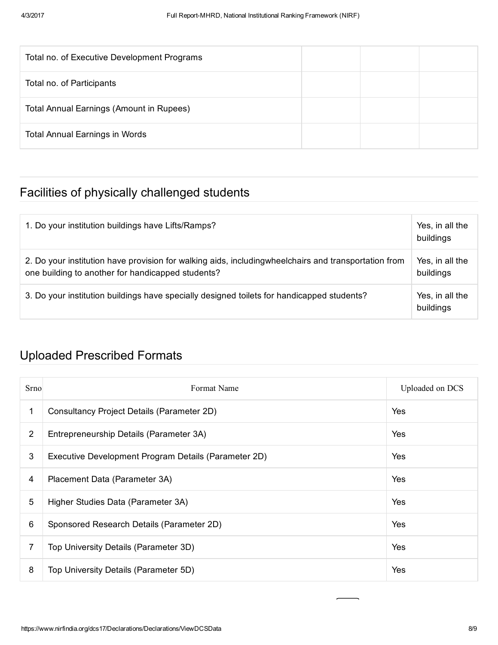| Total no. of Executive Development Programs     |  |  |
|-------------------------------------------------|--|--|
| Total no. of Participants                       |  |  |
| <b>Total Annual Earnings (Amount in Rupees)</b> |  |  |
| <b>Total Annual Earnings in Words</b>           |  |  |

# Facilities of physically challenged students

| 1. Do your institution buildings have Lifts/Ramps?                                                                                                         | Yes, in all the<br>buildings |
|------------------------------------------------------------------------------------------------------------------------------------------------------------|------------------------------|
| 2. Do your institution have provision for walking aids, including wheelchairs and transportation from<br>one building to another for handicapped students? | Yes, in all the<br>buildings |
| 3. Do your institution buildings have specially designed toilets for handicapped students?                                                                 | Yes, in all the<br>buildings |

# Uploaded Prescribed Formats

| Srno           | Format Name                                          | Uploaded on DCS |
|----------------|------------------------------------------------------|-----------------|
| 1              | Consultancy Project Details (Parameter 2D)           | Yes             |
| $\overline{2}$ | Entrepreneurship Details (Parameter 3A)              | Yes             |
| 3              | Executive Development Program Details (Parameter 2D) | Yes             |
| 4              | Placement Data (Parameter 3A)                        | Yes             |
| 5              | Higher Studies Data (Parameter 3A)                   | Yes             |
| 6              | Sponsored Research Details (Parameter 2D)            | Yes             |
| 7              | Top University Details (Parameter 3D)                | Yes             |
| 8              | Top University Details (Parameter 5D)                | Yes             |